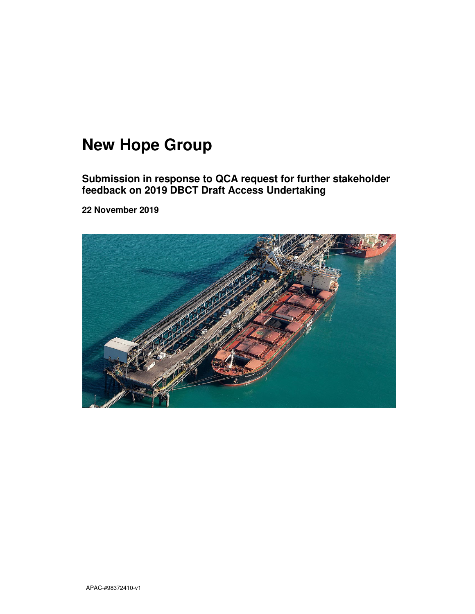# **New Hope Group**

**Submission in response to QCA request for further stakeholder feedback on 2019 DBCT Draft Access Undertaking** 

**22 November 2019** 

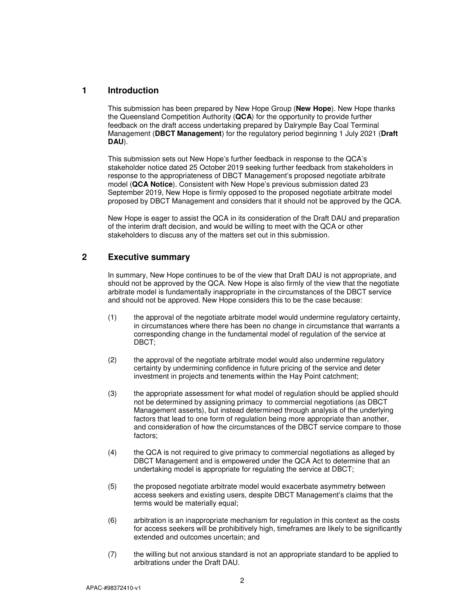### **1 Introduction**

This submission has been prepared by New Hope Group (**New Hope**). New Hope thanks the Queensland Competition Authority (**QCA**) for the opportunity to provide further feedback on the draft access undertaking prepared by Dalrymple Bay Coal Terminal Management (**DBCT Management**) for the regulatory period beginning 1 July 2021 (**Draft DAU**).

This submission sets out New Hope's further feedback in response to the QCA's stakeholder notice dated 25 October 2019 seeking further feedback from stakeholders in response to the appropriateness of DBCT Management's proposed negotiate arbitrate model (**QCA Notice**). Consistent with New Hope's previous submission dated 23 September 2019, New Hope is firmly opposed to the proposed negotiate arbitrate model proposed by DBCT Management and considers that it should not be approved by the QCA.

New Hope is eager to assist the QCA in its consideration of the Draft DAU and preparation of the interim draft decision, and would be willing to meet with the QCA or other stakeholders to discuss any of the matters set out in this submission.

# **2 Executive summary**

In summary, New Hope continues to be of the view that Draft DAU is not appropriate, and should not be approved by the QCA. New Hope is also firmly of the view that the negotiate arbitrate model is fundamentally inappropriate in the circumstances of the DBCT service and should not be approved. New Hope considers this to be the case because:

- (1) the approval of the negotiate arbitrate model would undermine regulatory certainty, in circumstances where there has been no change in circumstance that warrants a corresponding change in the fundamental model of regulation of the service at DBCT;
- (2) the approval of the negotiate arbitrate model would also undermine regulatory certainty by undermining confidence in future pricing of the service and deter investment in projects and tenements within the Hay Point catchment;
- (3) the appropriate assessment for what model of regulation should be applied should not be determined by assigning primacy to commercial negotiations (as DBCT Management asserts), but instead determined through analysis of the underlying factors that lead to one form of regulation being more appropriate than another, and consideration of how the circumstances of the DBCT service compare to those factors;
- (4) the QCA is not required to give primacy to commercial negotiations as alleged by DBCT Management and is empowered under the QCA Act to determine that an undertaking model is appropriate for regulating the service at DBCT;
- (5) the proposed negotiate arbitrate model would exacerbate asymmetry between access seekers and existing users, despite DBCT Management's claims that the terms would be materially equal;
- (6) arbitration is an inappropriate mechanism for regulation in this context as the costs for access seekers will be prohibitively high, timeframes are likely to be significantly extended and outcomes uncertain; and
- (7) the willing but not anxious standard is not an appropriate standard to be applied to arbitrations under the Draft DAU.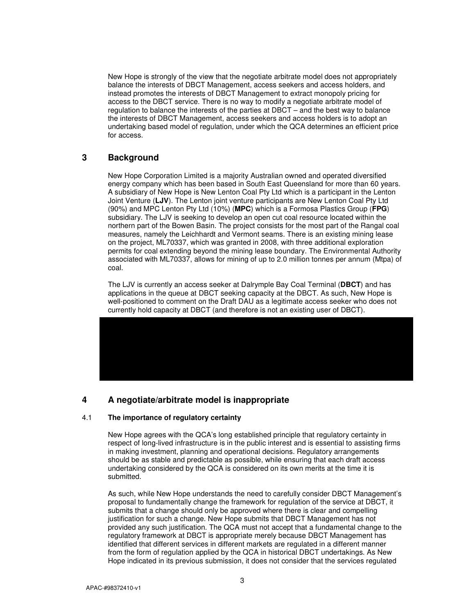New Hope is strongly of the view that the negotiate arbitrate model does not appropriately balance the interests of DBCT Management, access seekers and access holders, and instead promotes the interests of DBCT Management to extract monopoly pricing for access to the DBCT service. There is no way to modify a negotiate arbitrate model of regulation to balance the interests of the parties at DBCT – and the best way to balance the interests of DBCT Management, access seekers and access holders is to adopt an undertaking based model of regulation, under which the QCA determines an efficient price for access.

## **3 Background**

New Hope Corporation Limited is a majority Australian owned and operated diversified energy company which has been based in South East Queensland for more than 60 years. A subsidiary of New Hope is New Lenton Coal Pty Ltd which is a participant in the Lenton Joint Venture (**LJV**). The Lenton joint venture participants are New Lenton Coal Pty Ltd (90%) and MPC Lenton Pty Ltd (10%) (**MPC**) which is a Formosa Plastics Group (**FPG**) subsidiary. The LJV is seeking to develop an open cut coal resource located within the northern part of the Bowen Basin. The project consists for the most part of the Rangal coal measures, namely the Leichhardt and Vermont seams. There is an existing mining lease on the project, ML70337, which was granted in 2008, with three additional exploration permits for coal extending beyond the mining lease boundary. The Environmental Authority associated with ML70337, allows for mining of up to 2.0 million tonnes per annum (Mtpa) of coal.

The LJV is currently an access seeker at Dalrymple Bay Coal Terminal (**DBCT**) and has applications in the queue at DBCT seeking capacity at the DBCT. As such, New Hope is well-positioned to comment on the Draft DAU as a legitimate access seeker who does not currently hold capacity at DBCT (and therefore is not an existing user of DBCT).



# **4 A negotiate/arbitrate model is inappropriate**

#### 4.1 **The importance of regulatory certainty**

New Hope agrees with the QCA's long established principle that regulatory certainty in respect of long-lived infrastructure is in the public interest and is essential to assisting firms in making investment, planning and operational decisions. Regulatory arrangements should be as stable and predictable as possible, while ensuring that each draft access undertaking considered by the QCA is considered on its own merits at the time it is submitted.

As such, while New Hope understands the need to carefully consider DBCT Management's proposal to fundamentally change the framework for regulation of the service at DBCT, it submits that a change should only be approved where there is clear and compelling justification for such a change. New Hope submits that DBCT Management has not provided any such justification. The QCA must not accept that a fundamental change to the regulatory framework at DBCT is appropriate merely because DBCT Management has identified that different services in different markets are regulated in a different manner from the form of regulation applied by the QCA in historical DBCT undertakings. As New Hope indicated in its previous submission, it does not consider that the services regulated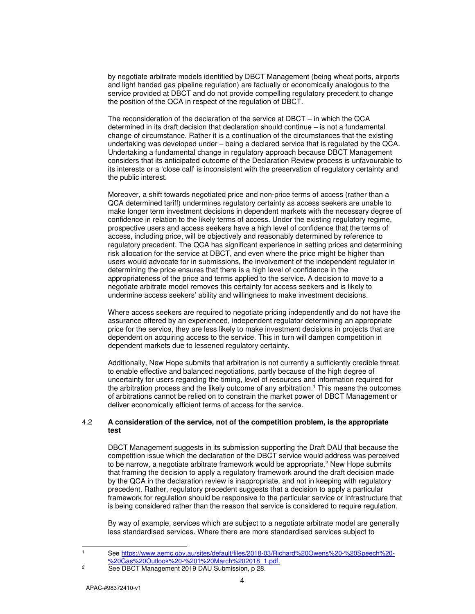by negotiate arbitrate models identified by DBCT Management (being wheat ports, airports and light handed gas pipeline regulation) are factually or economically analogous to the service provided at DBCT and do not provide compelling regulatory precedent to change the position of the QCA in respect of the regulation of DBCT.

The reconsideration of the declaration of the service at DBCT – in which the QCA determined in its draft decision that declaration should continue – is not a fundamental change of circumstance. Rather it is a continuation of the circumstances that the existing undertaking was developed under – being a declared service that is regulated by the QCA. Undertaking a fundamental change in regulatory approach because DBCT Management considers that its anticipated outcome of the Declaration Review process is unfavourable to its interests or a 'close call' is inconsistent with the preservation of regulatory certainty and the public interest.

Moreover, a shift towards negotiated price and non-price terms of access (rather than a QCA determined tariff) undermines regulatory certainty as access seekers are unable to make longer term investment decisions in dependent markets with the necessary degree of confidence in relation to the likely terms of access. Under the existing regulatory regime, prospective users and access seekers have a high level of confidence that the terms of access, including price, will be objectively and reasonably determined by reference to regulatory precedent. The QCA has significant experience in setting prices and determining risk allocation for the service at DBCT, and even where the price might be higher than users would advocate for in submissions, the involvement of the independent regulator in determining the price ensures that there is a high level of confidence in the appropriateness of the price and terms applied to the service. A decision to move to a negotiate arbitrate model removes this certainty for access seekers and is likely to undermine access seekers' ability and willingness to make investment decisions.

Where access seekers are required to negotiate pricing independently and do not have the assurance offered by an experienced, independent regulator determining an appropriate price for the service, they are less likely to make investment decisions in projects that are dependent on acquiring access to the service. This in turn will dampen competition in dependent markets due to lessened regulatory certainty.

Additionally, New Hope submits that arbitration is not currently a sufficiently credible threat to enable effective and balanced negotiations, partly because of the high degree of uncertainty for users regarding the timing, level of resources and information required for the arbitration process and the likely outcome of any arbitration.<sup>1</sup> This means the outcomes of arbitrations cannot be relied on to constrain the market power of DBCT Management or deliver economically efficient terms of access for the service.

#### 4.2 **A consideration of the service, not of the competition problem, is the appropriate test**

DBCT Management suggests in its submission supporting the Draft DAU that because the competition issue which the declaration of the DBCT service would address was perceived to be narrow, a negotiate arbitrate framework would be appropriate.<sup>2</sup> New Hope submits that framing the decision to apply a regulatory framework around the draft decision made by the QCA in the declaration review is inappropriate, and not in keeping with regulatory precedent. Rather, regulatory precedent suggests that a decision to apply a particular framework for regulation should be responsive to the particular service or infrastructure that is being considered rather than the reason that service is considered to require regulation.

By way of example, services which are subject to a negotiate arbitrate model are generally less standardised services. Where there are more standardised services subject to

 See https://www.aemc.gov.au/sites/default/files/2018-03/Richard%20Owens%20-%20Speech%20- %20Gas%20Outlook%20-%201%20March%202018\_1.pdf.

1 1

2

See DBCT Management 2019 DAU Submission, p 28.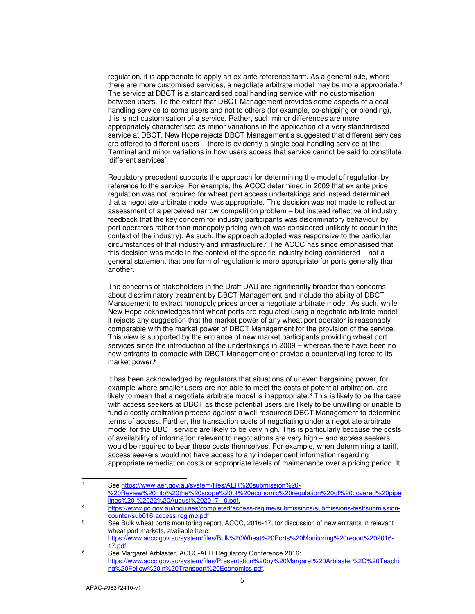regulation, it is appropriate to apply an ex ante reference tariff. As a general rule, where there are more customised services, a negotiate arbitrate model may be more appropriate.<sup>3</sup> The service at DBCT is a standardised coal handling service with no customisation between users. To the extent that DBCT Management provides some aspects of a coal handling service to some users and not to others (for example, co-shipping or blending), this is not customisation of a service. Rather, such minor differences are more appropriately characterised as minor variations in the application of a very standardised service at DBCT. New Hope rejects DBCT Management's suggested that different services are offered to different users – there is evidently a single coal handling service at the Terminal and minor variations in how users access that service cannot be said to constitute 'different services'.

Regulatory precedent supports the approach for determining the model of regulation by reference to the service. For example, the ACCC determined in 2009 that ex ante price regulation was not required for wheat port access undertakings and instead determined that a negotiate arbitrate model was appropriate. This decision was not made to reflect an assessment of a perceived narrow competition problem – but instead reflective of industry feedback that the key concern for industry participants was discriminatory behaviour by port operators rather than monopoly pricing (which was considered unlikely to occur in the context of the industry). As such, the approach adopted was responsive to the particular circumstances of that industry and infrastructure.<sup>4</sup> The ACCC has since emphasised that this decision was made in the context of the specific industry being considered – not a general statement that one form of regulation is more appropriate for ports generally than another.

The concerns of stakeholders in the Draft DAU are significantly broader than concerns about discriminatory treatment by DBCT Management and include the ability of DBCT Management to extract monopoly prices under a negotiate arbitrate model. As such, while New Hope acknowledges that wheat ports are regulated using a negotiate arbitrate model, it rejects any suggestion that the market power of any wheat port operator is reasonably comparable with the market power of DBCT Management for the provision of the service. This view is supported by the entrance of new market participants providing wheat port services since the introduction of the undertakings in 2009 – whereas there have been no new entrants to compete with DBCT Management or provide a countervailing force to its market power.<sup>5</sup>

It has been acknowledged by regulators that situations of uneven bargaining power, for example where smaller users are not able to meet the costs of potential arbitration, are likely to mean that a negotiate arbitrate model is inappropriate.<sup>6</sup> This is likely to be the case with access seekers at DBCT as those potential users are likely to be unwilling or unable to fund a costly arbitration process against a well-resourced DBCT Management to determine terms of access. Further, the transaction costs of negotiating under a negotiate arbitrate model for the DBCT service are likely to be very high. This is particularly because the costs of availability of information relevant to negotiations are very high – and access seekers would be required to bear these costs themselves. For example, when determining a tariff, access seekers would not have access to any independent information regarding appropriate remediation costs or appropriate levels of maintenance over a pricing period. It

 3 See https://www.aer.gov.au/system/files/AER%20submission%20- %20Review%20into%20the%20scope%20of%20economic%20regulation%20of%20covered%20pipe lines%20-%2022%20August%202017. 0.pdf.

<sup>4</sup> https://www.pc.gov.au/inquiries/completed/access-regime/submissions/submissions-test/submissioncounter/sub016-access-regime.pdf

<sup>5</sup> See Bulk wheat ports monitoring report, ACCC, 2016-17, for discussion of new entrants in relevant wheat port markets, available here: https://www.accc.gov.au/system/files/Bulk%20Wheat%20Ports%20Monitoring%20report%202016- 17.pdf

<sup>6</sup> See Margaret Arblaster, ACCC-AER Regulatory Conference 2016: https://www.accc.gov.au/system/files/Presentation%20by%20Margaret%20Arblaster%2C%20Teachi ng%20Fellow%20in%20Transport%20Economics.pdf.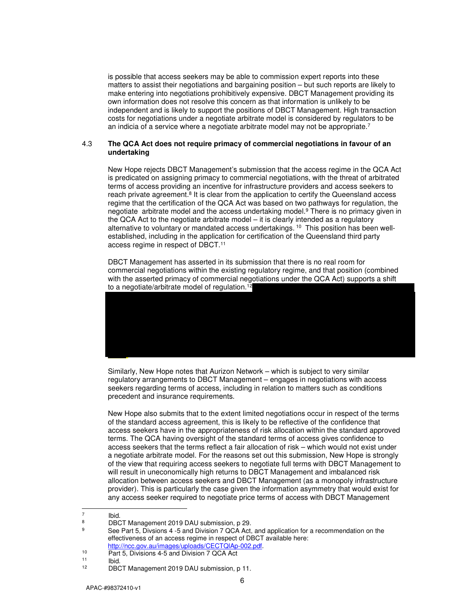is possible that access seekers may be able to commission expert reports into these matters to assist their negotiations and bargaining position – but such reports are likely to make entering into negotiations prohibitively expensive. DBCT Management providing its own information does not resolve this concern as that information is unlikely to be independent and is likely to support the positions of DBCT Management. High transaction costs for negotiations under a negotiate arbitrate model is considered by regulators to be an indicia of a service where a negotiate arbitrate model may not be appropriate.<sup>7</sup>

#### 4.3 **The QCA Act does not require primacy of commercial negotiations in favour of an undertaking**

New Hope rejects DBCT Management's submission that the access regime in the QCA Act is predicated on assigning primacy to commercial negotiations, with the threat of arbitrated terms of access providing an incentive for infrastructure providers and access seekers to reach private agreement.<sup>8</sup> It is clear from the application to certify the Queensland access regime that the certification of the QCA Act was based on two pathways for regulation, the negotiate arbitrate model and the access undertaking model.<sup>9</sup> There is no primacy given in the QCA Act to the negotiate arbitrate model – it is clearly intended as a regulatory alternative to voluntary or mandated access undertakings. 10 This position has been wellestablished, including in the application for certification of the Queensland third party access regime in respect of DBCT.<sup>11</sup>

DBCT Management has asserted in its submission that there is no real room for commercial negotiations within the existing regulatory regime, and that position (combined with the asserted primacy of commercial negotiations under the QCA Act) supports a shift to a negotiate/arbitrate model of regulation.<sup>12</sup>



Similarly, New Hope notes that Aurizon Network – which is subject to very similar regulatory arrangements to DBCT Management – engages in negotiations with access seekers regarding terms of access, including in relation to matters such as conditions precedent and insurance requirements.

New Hope also submits that to the extent limited negotiations occur in respect of the terms of the standard access agreement, this is likely to be reflective of the confidence that access seekers have in the appropriateness of risk allocation within the standard approved terms. The QCA having oversight of the standard terms of access gives confidence to access seekers that the terms reflect a fair allocation of risk – which would not exist under a negotiate arbitrate model. For the reasons set out this submission, New Hope is strongly of the view that requiring access seekers to negotiate full terms with DBCT Management to will result in uneconomically high returns to DBCT Management and imbalanced risk allocation between access seekers and DBCT Management (as a monopoly infrastructure provider). This is particularly the case given the information asymmetry that would exist for any access seeker required to negotiate price terms of access with DBCT Management

<sup>-&</sup>lt;br>7 Ibid.

<sup>8</sup> DBCT Management 2019 DAU submission, p 29.

<sup>9</sup> See Part 5, Divsions 4 -5 and Division 7 QCA Act, and application for a recommendation on the effectiveness of an access regime in respect of DBCT available here: http://ncc.gov.au/images/uploads/CECTQlAp-002.pdf.

<sup>10</sup> Part 5, Divisions 4-5 and Division 7 QCA Act

 $\frac{11}{12}$  Ibid. DBCT Management 2019 DAU submission, p 11.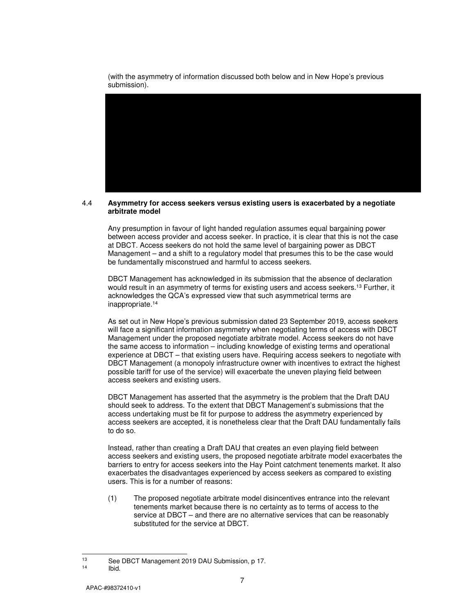(with the asymmetry of information discussed both below and in New Hope's previous submission).

#### 4.4 **Asymmetry for access seekers versus existing users is exacerbated by a negotiate arbitrate model**

Any presumption in favour of light handed regulation assumes equal bargaining power between access provider and access seeker. In practice, it is clear that this is not the case at DBCT. Access seekers do not hold the same level of bargaining power as DBCT Management – and a shift to a regulatory model that presumes this to be the case would be fundamentally misconstrued and harmful to access seekers.

DBCT Management has acknowledged in its submission that the absence of declaration would result in an asymmetry of terms for existing users and access seekers.<sup>13</sup> Further, it acknowledges the QCA's expressed view that such asymmetrical terms are inappropriate.<sup>14</sup>

As set out in New Hope's previous submission dated 23 September 2019, access seekers will face a significant information asymmetry when negotiating terms of access with DBCT Management under the proposed negotiate arbitrate model. Access seekers do not have the same access to information – including knowledge of existing terms and operational experience at DBCT – that existing users have. Requiring access seekers to negotiate with DBCT Management (a monopoly infrastructure owner with incentives to extract the highest possible tariff for use of the service) will exacerbate the uneven playing field between access seekers and existing users.

DBCT Management has asserted that the asymmetry is the problem that the Draft DAU should seek to address. To the extent that DBCT Management's submissions that the access undertaking must be fit for purpose to address the asymmetry experienced by access seekers are accepted, it is nonetheless clear that the Draft DAU fundamentally fails to do so.

Instead, rather than creating a Draft DAU that creates an even playing field between access seekers and existing users, the proposed negotiate arbitrate model exacerbates the barriers to entry for access seekers into the Hay Point catchment tenements market. It also exacerbates the disadvantages experienced by access seekers as compared to existing users. This is for a number of reasons:

(1) The proposed negotiate arbitrate model disincentives entrance into the relevant tenements market because there is no certainty as to terms of access to the service at DBCT – and there are no alternative services that can be reasonably substituted for the service at DBCT.

<sup>13</sup>  $^{13}$  See DBCT Management 2019 DAU Submission, p 17.

Ibid.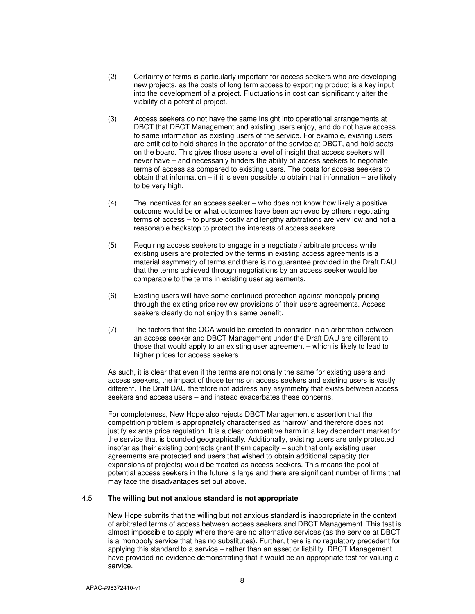- (2) Certainty of terms is particularly important for access seekers who are developing new projects, as the costs of long term access to exporting product is a key input into the development of a project. Fluctuations in cost can significantly alter the viability of a potential project.
- (3) Access seekers do not have the same insight into operational arrangements at DBCT that DBCT Management and existing users enjoy, and do not have access to same information as existing users of the service. For example, existing users are entitled to hold shares in the operator of the service at DBCT, and hold seats on the board. This gives those users a level of insight that access seekers will never have – and necessarily hinders the ability of access seekers to negotiate terms of access as compared to existing users. The costs for access seekers to obtain that information  $-$  if it is even possible to obtain that information  $-$  are likely to be very high.
- (4) The incentives for an access seeker who does not know how likely a positive outcome would be or what outcomes have been achieved by others negotiating terms of access – to pursue costly and lengthy arbitrations are very low and not a reasonable backstop to protect the interests of access seekers.
- (5) Requiring access seekers to engage in a negotiate / arbitrate process while existing users are protected by the terms in existing access agreements is a material asymmetry of terms and there is no guarantee provided in the Draft DAU that the terms achieved through negotiations by an access seeker would be comparable to the terms in existing user agreements.
- (6) Existing users will have some continued protection against monopoly pricing through the existing price review provisions of their users agreements. Access seekers clearly do not enjoy this same benefit.
- (7) The factors that the QCA would be directed to consider in an arbitration between an access seeker and DBCT Management under the Draft DAU are different to those that would apply to an existing user agreement – which is likely to lead to higher prices for access seekers.

As such, it is clear that even if the terms are notionally the same for existing users and access seekers, the impact of those terms on access seekers and existing users is vastly different. The Draft DAU therefore not address any asymmetry that exists between access seekers and access users – and instead exacerbates these concerns.

For completeness, New Hope also rejects DBCT Management's assertion that the competition problem is appropriately characterised as 'narrow' and therefore does not justify ex ante price regulation. It is a clear competitive harm in a key dependent market for the service that is bounded geographically. Additionally, existing users are only protected insofar as their existing contracts grant them capacity – such that only existing user agreements are protected and users that wished to obtain additional capacity (for expansions of projects) would be treated as access seekers. This means the pool of potential access seekers in the future is large and there are significant number of firms that may face the disadvantages set out above.

#### 4.5 **The willing but not anxious standard is not appropriate**

New Hope submits that the willing but not anxious standard is inappropriate in the context of arbitrated terms of access between access seekers and DBCT Management. This test is almost impossible to apply where there are no alternative services (as the service at DBCT is a monopoly service that has no substitutes). Further, there is no regulatory precedent for applying this standard to a service – rather than an asset or liability. DBCT Management have provided no evidence demonstrating that it would be an appropriate test for valuing a service.